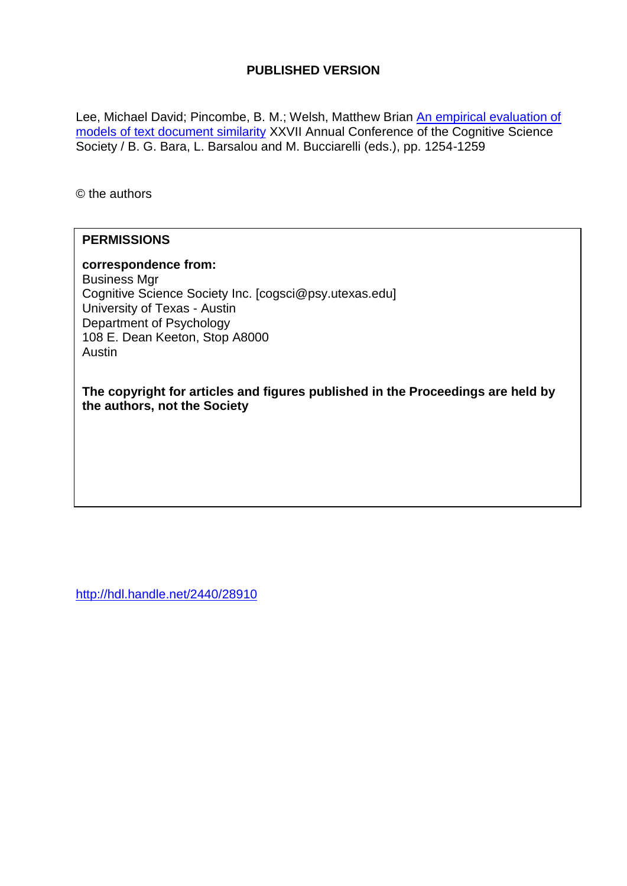# **PUBLISHED VERSION**

Lee, Michael David; Pincombe, B. M.; Welsh, Matthew Brian An empirical evaluation of [models of text document similarity](http://hdl.handle.net/2440/28910) XXVII Annual Conference of the Cognitive Science Society / B. G. Bara, L. Barsalou and M. Bucciarelli (eds.), pp. 1254-1259

© the authors

## **PERMISSIONS**

## **correspondence from:**

Business Mgr Cognitive Science Society Inc. [cogsci@psy.utexas.edu] University of Texas - Austin Department of Psychology 108 E. Dean Keeton, Stop A8000 Austin

**The copyright for articles and figures published in the Proceedings are held by the authors, not the Society**

<http://hdl.handle.net/2440/28910>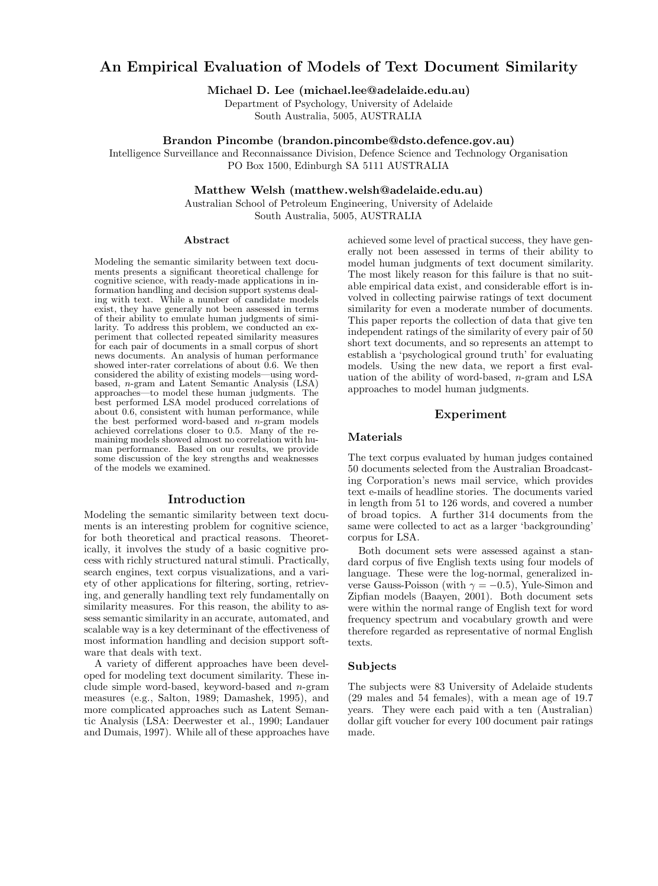# **An Empirical Evaluation of Models of Text Document Similarity**

**Michael D. Lee (michael.lee@adelaide.edu.au)**

Department of Psychology, University of Adelaide South Australia, 5005, AUSTRALIA

## **Brandon Pincombe (brandon.pincombe@dsto.defence.gov.au)**

Intelligence Surveillance and Reconnaissance Division, Defence Science and Technology Organisation PO Box 1500, Edinburgh SA 5111 AUSTRALIA

## **Matthew Welsh (matthew.welsh@adelaide.edu.au)**

Australian School of Petroleum Engineering, University of Adelaide South Australia, 5005, AUSTRALIA

#### **Abstract**

Modeling the semantic similarity between text documents presents a significant theoretical challenge for cognitive science, with ready-made applications in information handling and decision support systems dealing with text. While a number of candidate models exist, they have generally not been assessed in terms of their ability to emulate human judgments of similarity. To address this problem, we conducted an experiment that collected repeated similarity measures for each pair of documents in a small corpus of short news documents. An analysis of human performance showed inter-rater correlations of about 0.6. We then considered the ability of existing models—using wordbased, n-gram and Latent Semantic Analysis (LSA) approaches—to model these human judgments. The best performed LSA model produced correlations of about 0.6, consistent with human performance, while the best performed word-based and n-gram models achieved correlations closer to 0.5. Many of the remaining models showed almost no correlation with human performance. Based on our results, we provide some discussion of the key strengths and weaknesses of the models we examined.

## **Introduction**

Modeling the semantic similarity between text documents is an interesting problem for cognitive science, for both theoretical and practical reasons. Theoretically, it involves the study of a basic cognitive process with richly structured natural stimuli. Practically, search engines, text corpus visualizations, and a variety of other applications for filtering, sorting, retrieving, and generally handling text rely fundamentally on similarity measures. For this reason, the ability to assess semantic similarity in an accurate, automated, and scalable way is a key determinant of the effectiveness of most information handling and decision support software that deals with text.

A variety of different approaches have been developed for modeling text document similarity. These include simple word-based, keyword-based and  $n$ -gram measures (e.g., Salton, 1989; Damashek, 1995), and more complicated approaches such as Latent Semantic Analysis (LSA: Deerwester et al., 1990; Landauer and Dumais, 1997). While all of these approaches have achieved some level of practical success, they have generally not been assessed in terms of their ability to model human judgments of text document similarity. The most likely reason for this failure is that no suitable empirical data exist, and considerable effort is involved in collecting pairwise ratings of text document similarity for even a moderate number of documents. This paper reports the collection of data that give ten independent ratings of the similarity of every pair of 50 short text documents, and so represents an attempt to establish a 'psychological ground truth' for evaluating models. Using the new data, we report a first evaluation of the ability of word-based, n-gram and LSA approaches to model human judgments.

## **Experiment**

#### **Materials**

The text corpus evaluated by human judges contained 50 documents selected from the Australian Broadcasting Corporation's news mail service, which provides text e-mails of headline stories. The documents varied in length from 51 to 126 words, and covered a number of broad topics. A further 314 documents from the same were collected to act as a larger 'backgrounding' corpus for LSA.

Both document sets were assessed against a standard corpus of five English texts using four models of language. These were the log-normal, generalized inverse Gauss-Poisson (with  $\gamma = -0.5$ ), Yule-Simon and Zipfian models (Baayen, 2001). Both document sets were within the normal range of English text for word frequency spectrum and vocabulary growth and were therefore regarded as representative of normal English texts.

## **Subjects**

The subjects were 83 University of Adelaide students (29 males and 54 females), with a mean age of 19.7 years. They were each paid with a ten (Australian) dollar gift voucher for every 100 document pair ratings made.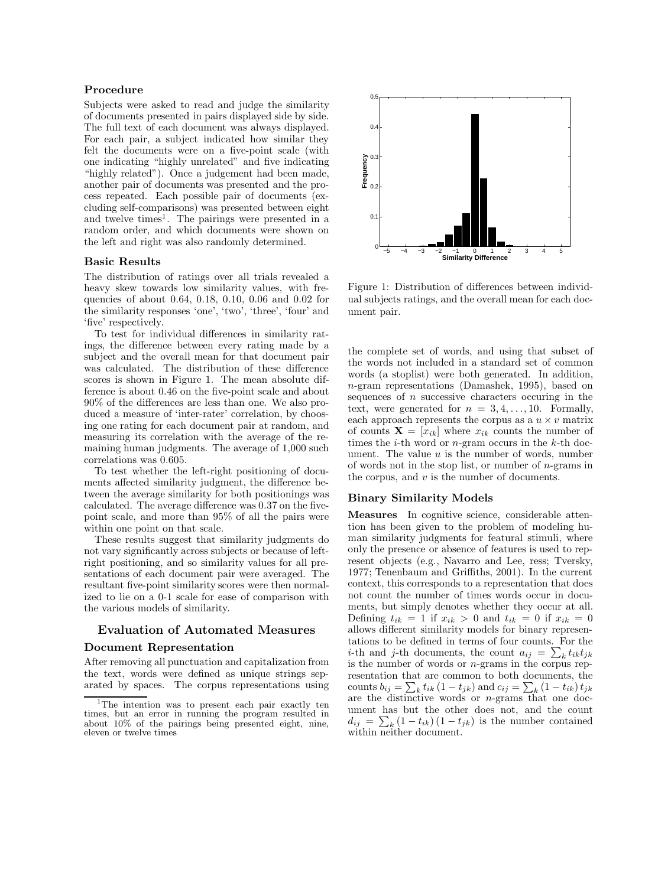#### **Procedure**

Subjects were asked to read and judge the similarity of documents presented in pairs displayed side by side. The full text of each document was always displayed. For each pair, a subject indicated how similar they felt the documents were on a five-point scale (with one indicating "highly unrelated" and five indicating "highly related"). Once a judgement had been made, another pair of documents was presented and the process repeated. Each possible pair of documents (excluding self-comparisons) was presented between eight and twelve times<sup>1</sup>. The pairings were presented in a random order, and which documents were shown on the left and right was also randomly determined.

#### **Basic Results**

The distribution of ratings over all trials revealed a heavy skew towards low similarity values, with frequencies of about 0.64, 0.18, 0.10, 0.06 and 0.02 for the similarity responses 'one', 'two', 'three', 'four' and 'five' respectively.

To test for individual differences in similarity ratings, the difference between every rating made by a subject and the overall mean for that document pair was calculated. The distribution of these difference scores is shown in Figure 1. The mean absolute difference is about 0.46 on the five-point scale and about 90% of the differences are less than one. We also produced a measure of 'inter-rater' correlation, by choosing one rating for each document pair at random, and measuring its correlation with the average of the remaining human judgments. The average of 1,000 such correlations was 0.605.

To test whether the left-right positioning of documents affected similarity judgment, the difference between the average similarity for both positionings was calculated. The average difference was 0.37 on the fivepoint scale, and more than 95% of all the pairs were within one point on that scale.

These results suggest that similarity judgments do not vary significantly across subjects or because of leftright positioning, and so similarity values for all presentations of each document pair were averaged. The resultant five-point similarity scores were then normalized to lie on a 0-1 scale for ease of comparison with the various models of similarity.

## **Evaluation of Automated Measures**

## **Document Representation**

After removing all punctuation and capitalization from the text, words were defined as unique strings separated by spaces. The corpus representations using



Figure 1: Distribution of differences between individual subjects ratings, and the overall mean for each document pair.

the complete set of words, and using that subset of the words not included in a standard set of common words (a stoplist) were both generated. In addition, n-gram representations (Damashek, 1995), based on sequences of  $n$  successive characters occuring in the text, were generated for  $n = 3, 4, \ldots, 10$ . Formally, each approach represents the corpus as a  $u \times v$  matrix of counts  $\mathbf{X} = [x_{ik}]$  where  $x_{ik}$  counts the number of times the *i*-th word or *n*-gram occurs in the *k*-th document. The value  $u$  is the number of words, number of words not in the stop list, or number of  $n$ -grams in the corpus, and  $v$  is the number of documents.

#### **Binary Similarity Models**

**Measures** In cognitive science, considerable attention has been given to the problem of modeling human similarity judgments for featural stimuli, where only the presence or absence of features is used to represent objects (e.g., Navarro and Lee, ress; Tversky, 1977; Tenenbaum and Griffiths, 2001). In the current context, this corresponds to a representation that does not count the number of times words occur in documents, but simply denotes whether they occur at all. Defining  $t_{ik} = 1$  if  $x_{ik} > 0$  and  $t_{ik} = 0$  if  $x_{ik} = 0$ allows different similarity models for binary representations to be defined in terms of four counts. For the i-th and j-th documents, the count  $a_{ij} = \sum_k t_{ik}t_{jk}$ is the number of words or  $n$ -grams in the corpus representation that are common to both documents, the counts  $b_{ij} = \sum_k t_{ik} (1 - t_{jk})$  and  $c_{ij} = \sum_k (1 - t_{ik}) t_{jk}$ are the distinctive words or n-grams that one document has but the other does not, and the count  $d_{ij} = \sum_{k} (1 - t_{ik}) (1 - t_{jk})$  is the number contained within neither document.

<sup>&</sup>lt;sup>1</sup>The intention was to present each pair exactly ten times, but an error in running the program resulted in about 10% of the pairings being presented eight, nine, eleven or twelve times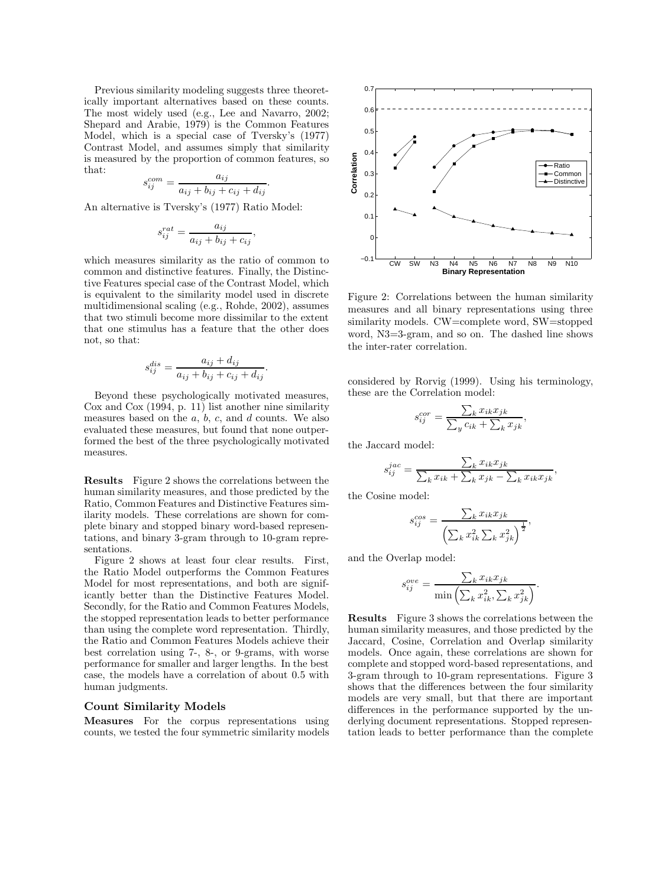Previous similarity modeling suggests three theoretically important alternatives based on these counts. The most widely used (e.g., Lee and Navarro, 2002; Shepard and Arabie, 1979) is the Common Features Model, which is a special case of Tversky's (1977) Contrast Model, and assumes simply that similarity is measured by the proportion of common features, so that:

$$
s_{ij}^{com} = \frac{a_{ij}}{a_{ij} + b_{ij} + c_{ij} + d_{ij}}.
$$

An alternative is Tversky's (1977) Ratio Model:

$$
s_{ij}^{rat} = \frac{a_{ij}}{a_{ij} + b_{ij} + c_{ij}},
$$

which measures similarity as the ratio of common to common and distinctive features. Finally, the Distinctive Features special case of the Contrast Model, which is equivalent to the similarity model used in discrete multidimensional scaling (e.g., Rohde, 2002), assumes that two stimuli become more dissimilar to the extent that one stimulus has a feature that the other does not, so that:

$$
s_{ij}^{dis} = \frac{a_{ij} + d_{ij}}{a_{ij} + b_{ij} + c_{ij} + d_{ij}}.
$$

Beyond these psychologically motivated measures, Cox and Cox (1994, p. 11) list another nine similarity measures based on the  $a, b, c$ , and  $d$  counts. We also evaluated these measures, but found that none outperformed the best of the three psychologically motivated measures.

**Results** Figure 2 shows the correlations between the human similarity measures, and those predicted by the Ratio, Common Features and Distinctive Features similarity models. These correlations are shown for complete binary and stopped binary word-based representations, and binary 3-gram through to 10-gram representations.

Figure 2 shows at least four clear results. First, the Ratio Model outperforms the Common Features Model for most representations, and both are significantly better than the Distinctive Features Model. Secondly, for the Ratio and Common Features Models, the stopped representation leads to better performance than using the complete word representation. Thirdly, the Ratio and Common Features Models achieve their best correlation using 7-, 8-, or 9-grams, with worse performance for smaller and larger lengths. In the best case, the models have a correlation of about 0.5 with human judgments.

#### **Count Similarity Models**

**Measures** For the corpus representations using counts, we tested the four symmetric similarity models



Figure 2: Correlations between the human similarity measures and all binary representations using three similarity models. CW=complete word, SW=stopped word, N3=3-gram, and so on. The dashed line shows the inter-rater correlation.

considered by Rorvig (1999). Using his terminology, these are the Correlation model:

$$
s_{ij}^{cor} = \frac{\sum_{k} x_{ik} x_{jk}}{\sum_{y} c_{ik} + \sum_{k} x_{jk}}
$$

,

the Jaccard model:

$$
s_{ij}^{jac} = \frac{\sum_k x_{ik} x_{jk}}{\sum_k x_{ik} + \sum_k x_{jk} - \sum_k x_{ik} x_{jk}},
$$

the Cosine model:

$$
s_{ij}^{cos} = \frac{\sum_{k} x_{ik} x_{jk}}{\left(\sum_{k} x_{ik}^2 \sum_{k} x_{jk}^2\right)^{\frac{1}{2}}},
$$

and the Overlap model:

$$
s_{ij}^{ove} = \frac{\sum_{k} x_{ik} x_{jk}}{\min\left(\sum_{k} x_{ik}^2, \sum_{k} x_{jk}^2\right)}.
$$

**Results** Figure 3 shows the correlations between the human similarity measures, and those predicted by the Jaccard, Cosine, Correlation and Overlap similarity models. Once again, these correlations are shown for complete and stopped word-based representations, and 3-gram through to 10-gram representations. Figure 3 shows that the differences between the four similarity models are very small, but that there are important differences in the performance supported by the underlying document representations. Stopped representation leads to better performance than the complete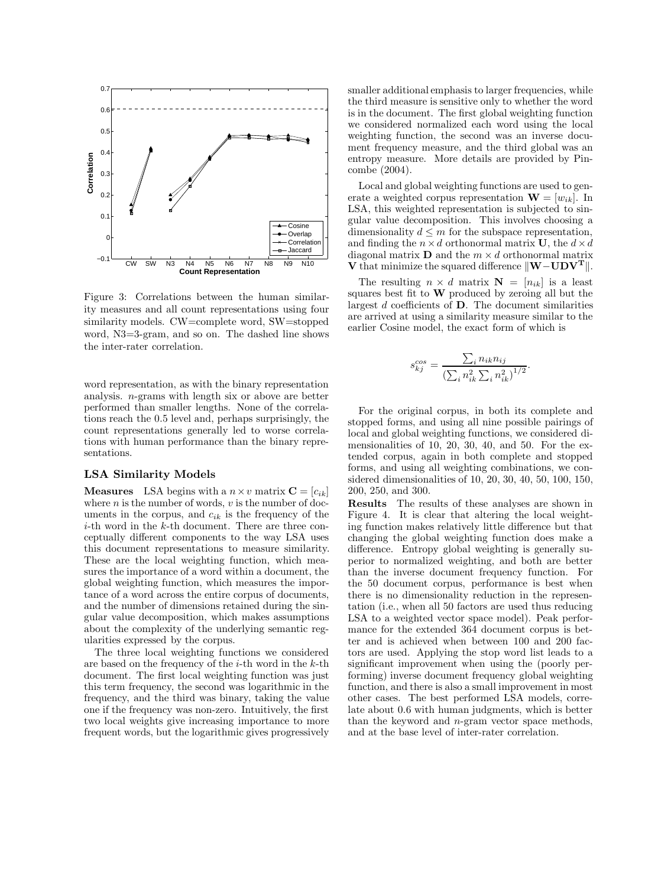

Figure 3: Correlations between the human similarity measures and all count representations using four similarity models. CW=complete word, SW=stopped word, N3=3-gram, and so on. The dashed line shows the inter-rater correlation.

word representation, as with the binary representation analysis. n-grams with length six or above are better performed than smaller lengths. None of the correlations reach the 0.5 level and, perhaps surprisingly, the count representations generally led to worse correlations with human performance than the binary representations.

#### **LSA Similarity Models**

**Measures** LSA begins with a  $n \times v$  matrix  $\mathbf{C} = [c_{ik}]$ where  $n$  is the number of words,  $v$  is the number of documents in the corpus, and  $c_{ik}$  is the frequency of the *i*-th word in the  $k$ -th document. There are three conceptually different components to the way LSA uses this document representations to measure similarity. These are the local weighting function, which measures the importance of a word within a document, the global weighting function, which measures the importance of a word across the entire corpus of documents, and the number of dimensions retained during the singular value decomposition, which makes assumptions about the complexity of the underlying semantic regularities expressed by the corpus.

The three local weighting functions we considered are based on the frequency of the  $i$ -th word in the  $k$ -th document. The first local weighting function was just this term frequency, the second was logarithmic in the frequency, and the third was binary, taking the value one if the frequency was non-zero. Intuitively, the first two local weights give increasing importance to more frequent words, but the logarithmic gives progressively smaller additional emphasis to larger frequencies, while the third measure is sensitive only to whether the word is in the document. The first global weighting function we considered normalized each word using the local weighting function, the second was an inverse document frequency measure, and the third global was an entropy measure. More details are provided by Pincombe (2004).

Local and global weighting functions are used to generate a weighted corpus representation  $\mathbf{W} = [w_{ik}]$ . In LSA, this weighted representation is subjected to singular value decomposition. This involves choosing a dimensionality  $d \leq m$  for the subspace representation, and finding the  $n \times d$  orthonormal matrix **U**, the  $d \times d$ diagonal matrix **D** and the  $m \times d$  orthonormal matrix **V** that minimize the squared difference  $\|\mathbf{W}-\mathbf{U}\mathbf{D}\mathbf{V}^{\mathrm{T}}\|$ .

The resulting  $n \times d$  matrix  $N = [n_{ik}]$  is a least squares best fit to **W** produced by zeroing all but the largest d coefficients of **D**. The document similarities are arrived at using a similarity measure similar to the earlier Cosine model, the exact form of which is

$$
s_{kj}^{cos} = \frac{\sum_{i} n_{ik} n_{ij}}{\left(\sum_{i} n_{ik}^2 \sum_{i} n_{ik}^2\right)^{1/2}}.
$$

For the original corpus, in both its complete and stopped forms, and using all nine possible pairings of local and global weighting functions, we considered dimensionalities of 10, 20, 30, 40, and 50. For the extended corpus, again in both complete and stopped forms, and using all weighting combinations, we considered dimensionalities of 10, 20, 30, 40, 50, 100, 150, 200, 250, and 300.

**Results** The results of these analyses are shown in Figure 4. It is clear that altering the local weighting function makes relatively little difference but that changing the global weighting function does make a difference. Entropy global weighting is generally superior to normalized weighting, and both are better than the inverse document frequency function. For the 50 document corpus, performance is best when there is no dimensionality reduction in the representation (i.e., when all 50 factors are used thus reducing LSA to a weighted vector space model). Peak performance for the extended 364 document corpus is better and is achieved when between 100 and 200 factors are used. Applying the stop word list leads to a significant improvement when using the (poorly performing) inverse document frequency global weighting function, and there is also a small improvement in most other cases. The best performed LSA models, correlate about 0.6 with human judgments, which is better than the keyword and  $n$ -gram vector space methods, and at the base level of inter-rater correlation.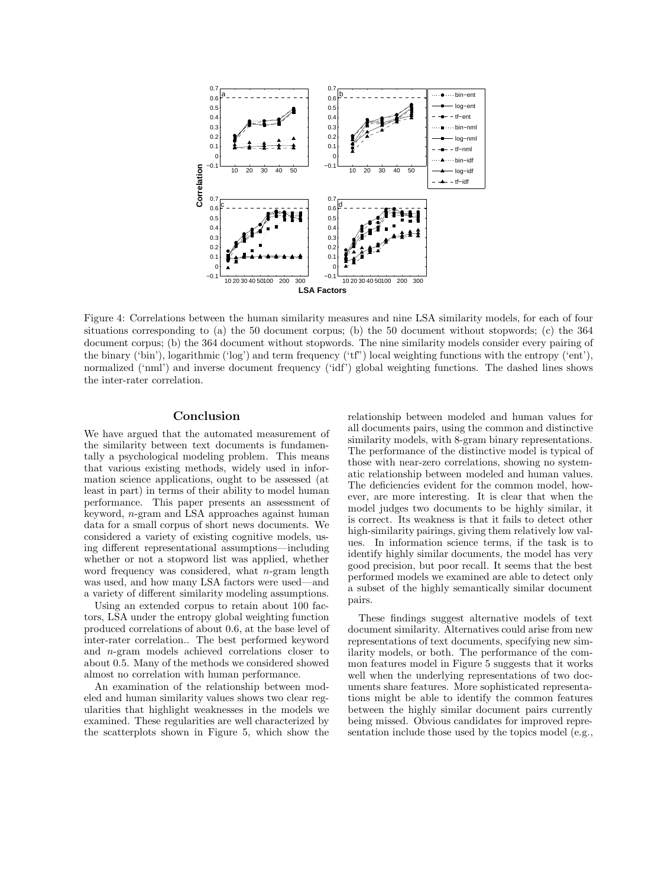

Figure 4: Correlations between the human similarity measures and nine LSA similarity models, for each of four situations corresponding to (a) the 50 document corpus; (b) the 50 document without stopwords; (c) the 364 document corpus; (b) the 364 document without stopwords. The nine similarity models consider every pairing of the binary ('bin'), logarithmic ('log') and term frequency ('tf") local weighting functions with the entropy ('ent'), normalized ('nml') and inverse document frequency ('idf') global weighting functions. The dashed lines shows the inter-rater correlation.

## **Conclusion**

We have argued that the automated measurement of the similarity between text documents is fundamentally a psychological modeling problem. This means that various existing methods, widely used in information science applications, ought to be assessed (at least in part) in terms of their ability to model human performance. This paper presents an assessment of keyword, n-gram and LSA approaches against human data for a small corpus of short news documents. We considered a variety of existing cognitive models, using different representational assumptions—including whether or not a stopword list was applied, whether word frequency was considered, what  $n$ -gram length was used, and how many LSA factors were used—and a variety of different similarity modeling assumptions.

Using an extended corpus to retain about 100 factors, LSA under the entropy global weighting function produced correlations of about 0.6, at the base level of inter-rater correlation.. The best performed keyword and n-gram models achieved correlations closer to about 0.5. Many of the methods we considered showed almost no correlation with human performance.

An examination of the relationship between modeled and human similarity values shows two clear regularities that highlight weaknesses in the models we examined. These regularities are well characterized by the scatterplots shown in Figure 5, which show the relationship between modeled and human values for all documents pairs, using the common and distinctive similarity models, with 8-gram binary representations. The performance of the distinctive model is typical of those with near-zero correlations, showing no systematic relationship between modeled and human values. The deficiencies evident for the common model, however, are more interesting. It is clear that when the model judges two documents to be highly similar, it is correct. Its weakness is that it fails to detect other high-similarity pairings, giving them relatively low values. In information science terms, if the task is to identify highly similar documents, the model has very good precision, but poor recall. It seems that the best performed models we examined are able to detect only a subset of the highly semantically similar document pairs.

These findings suggest alternative models of text document similarity. Alternatives could arise from new representations of text documents, specifying new similarity models, or both. The performance of the common features model in Figure 5 suggests that it works well when the underlying representations of two documents share features. More sophisticated representations might be able to identify the common features between the highly similar document pairs currently being missed. Obvious candidates for improved representation include those used by the topics model (e.g.,